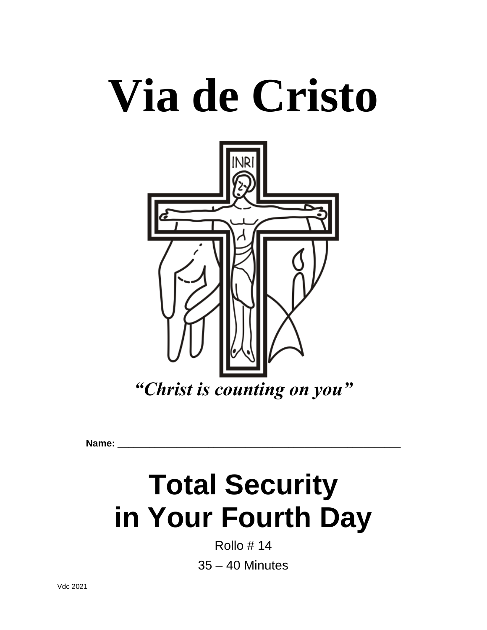# **Via de Cristo**



**Name: \_\_\_\_\_\_\_\_\_\_\_\_\_\_\_\_\_\_\_\_\_\_\_\_\_\_\_\_\_\_\_\_\_\_\_\_\_\_\_\_\_\_\_\_\_\_\_\_\_\_\_\_\_**

## **Total Security in Your Fourth Day**

Rollo # 14 35 – 40 Minutes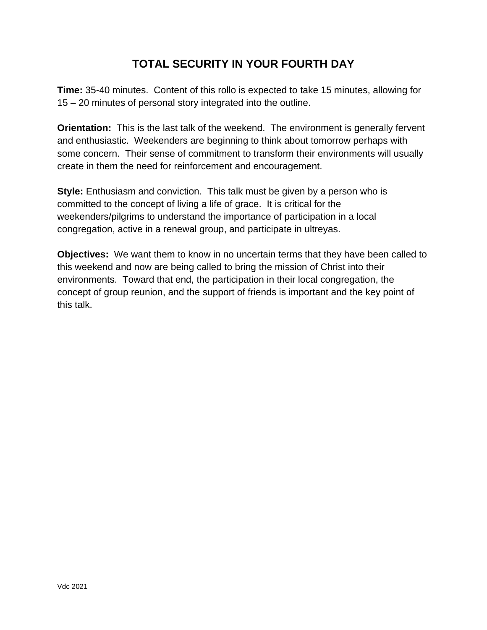### **TOTAL SECURITY IN YOUR FOURTH DAY**

**Time:** 35-40 minutes. Content of this rollo is expected to take 15 minutes, allowing for 15 – 20 minutes of personal story integrated into the outline.

**Orientation:** This is the last talk of the weekend. The environment is generally fervent and enthusiastic. Weekenders are beginning to think about tomorrow perhaps with some concern. Their sense of commitment to transform their environments will usually create in them the need for reinforcement and encouragement.

**Style:** Enthusiasm and conviction. This talk must be given by a person who is committed to the concept of living a life of grace. It is critical for the weekenders/pilgrims to understand the importance of participation in a local congregation, active in a renewal group, and participate in ultreyas.

**Objectives:** We want them to know in no uncertain terms that they have been called to this weekend and now are being called to bring the mission of Christ into their environments. Toward that end, the participation in their local congregation, the concept of group reunion, and the support of friends is important and the key point of this talk.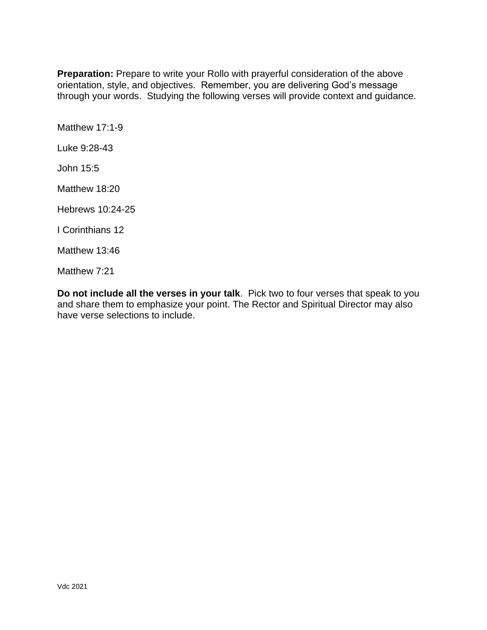**Preparation:** Prepare to write your Rollo with prayerful consideration of the above orientation, style, and objectives. Remember, you are delivering God's message through your words. Studying the following verses will provide context and guidance.

Matthew 17:1-9

Luke 9:28-43

John 15:5

Matthew 18:20

Hebrews 10:24-25

I Corinthians 12

Matthew 13:46

Matthew 7:21

**Do not include all the verses in your talk**. Pick two to four verses that speak to you and share them to emphasize your point. The Rector and Spiritual Director may also have verse selections to include.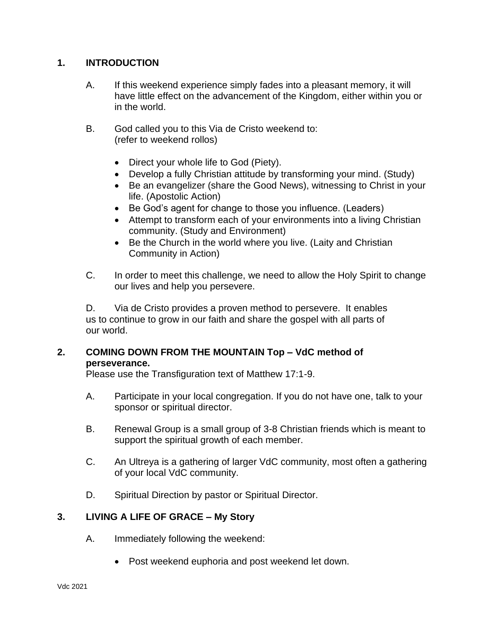#### **1. INTRODUCTION**

- A. If this weekend experience simply fades into a pleasant memory, it will have little effect on the advancement of the Kingdom, either within you or in the world.
- B. God called you to this Via de Cristo weekend to: (refer to weekend rollos)
	- Direct your whole life to God (Piety).
	- Develop a fully Christian attitude by transforming your mind. (Study)
	- Be an evangelizer (share the Good News), witnessing to Christ in your life. (Apostolic Action)
	- Be God's agent for change to those you influence. (Leaders)
	- Attempt to transform each of your environments into a living Christian community. (Study and Environment)
	- Be the Church in the world where you live. (Laity and Christian Community in Action)
- C. In order to meet this challenge, we need to allow the Holy Spirit to change our lives and help you persevere.

D. Via de Cristo provides a proven method to persevere. It enables us to continue to grow in our faith and share the gospel with all parts of our world.

#### **2. COMING DOWN FROM THE MOUNTAIN Top – VdC method of perseverance.**

Please use the Transfiguration text of Matthew 17:1-9.

- A. Participate in your local congregation. If you do not have one, talk to your sponsor or spiritual director.
- B. Renewal Group is a small group of 3-8 Christian friends which is meant to support the spiritual growth of each member.
- C. An Ultreya is a gathering of larger VdC community, most often a gathering of your local VdC community.
- D. Spiritual Direction by pastor or Spiritual Director.

#### **3. LIVING A LIFE OF GRACE – My Story**

- A. Immediately following the weekend:
	- Post weekend euphoria and post weekend let down.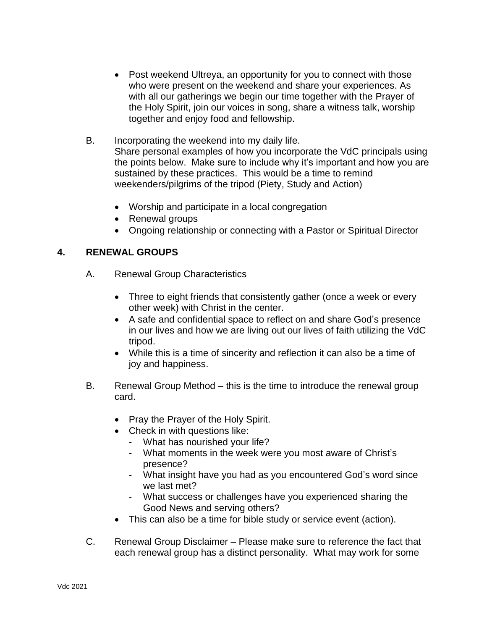- Post weekend Ultreya, an opportunity for you to connect with those who were present on the weekend and share your experiences. As with all our gatherings we begin our time together with the Prayer of the Holy Spirit, join our voices in song, share a witness talk, worship together and enjoy food and fellowship.
- B. Incorporating the weekend into my daily life. Share personal examples of how you incorporate the VdC principals using the points below. Make sure to include why it's important and how you are sustained by these practices. This would be a time to remind weekenders/pilgrims of the tripod (Piety, Study and Action)
	- Worship and participate in a local congregation
	- Renewal groups
	- Ongoing relationship or connecting with a Pastor or Spiritual Director

#### **4. RENEWAL GROUPS**

- A. Renewal Group Characteristics
	- Three to eight friends that consistently gather (once a week or every other week) with Christ in the center.
	- A safe and confidential space to reflect on and share God's presence in our lives and how we are living out our lives of faith utilizing the VdC tripod.
	- While this is a time of sincerity and reflection it can also be a time of joy and happiness.
- B. Renewal Group Method this is the time to introduce the renewal group card.
	- Pray the Prayer of the Holy Spirit.
	- Check in with questions like:
		- What has nourished your life?
		- What moments in the week were you most aware of Christ's presence?
		- What insight have you had as you encountered God's word since we last met?
		- What success or challenges have you experienced sharing the Good News and serving others?
	- This can also be a time for bible study or service event (action).
- C. Renewal Group Disclaimer Please make sure to reference the fact that each renewal group has a distinct personality. What may work for some